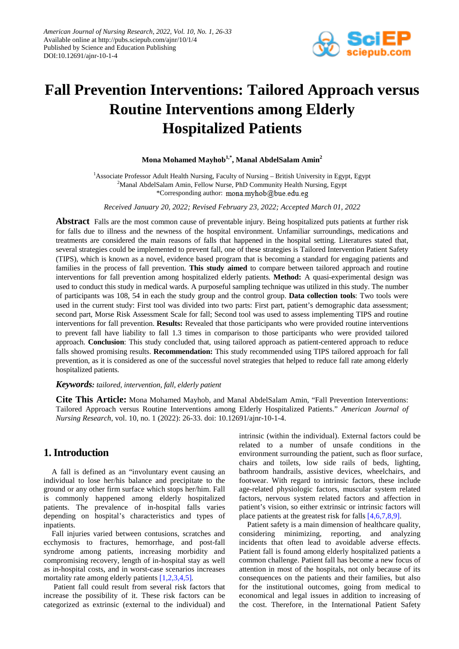

# **Fall Prevention Interventions: Tailored Approach versus Routine Interventions among Elderly Hospitalized Patients**

## **Mona Mohamed Mayhob1,\* , Manal AbdelSalam Amin2**

<sup>1</sup> Associate Professor Adult Health Nursing, Faculty of Nursing - British University in Egypt, Egypt <sup>2</sup>Manal AbdelSalam Amin, Fellow Nurse, PhD Community Health Nursing, Egypt \*Corresponding author: mona.myhob@bue.edu.eg

*Received January 20, 2022; Revised February 23, 2022; Accepted March 01, 2022*

**Abstract** Falls are the most common cause of preventable injury. Being hospitalized puts patients at further risk for falls due to illness and the newness of the hospital environment. Unfamiliar surroundings, medications and treatments are considered the main reasons of falls that happened in the hospital setting. Literatures stated that, several strategies could be implemented to prevent fall, one of these strategies is Tailored Intervention Patient Safety (TIPS), which is known as a novel, evidence based program that is becoming a standard for engaging patients and families in the process of fall prevention. **This study aimed** to compare between tailored approach and routine interventions for fall prevention among hospitalized elderly patients. **Method:** A quasi-experimental design was used to conduct this study in medical wards. A purposeful sampling technique was utilized in this study. The number of participants was 108, 54 in each the study group and the control group. **Data collection tools**: Two tools were used in the current study: First tool was divided into two parts: First part, patient's demographic data assessment; second part, Morse Risk Assessment Scale for fall; Second tool was used to assess implementing TIPS and routine interventions for fall prevention. **Results:** Revealed that those participants who were provided routine interventions to prevent fall have liability to fall 1.3 times in comparison to those participants who were provided tailored approach. **Conclusion**: This study concluded that, using tailored approach as patient-centered approach to reduce falls showed promising results. **Recommendation:** This study recommended using TIPS tailored approach for fall prevention, as it is considered as one of the successful novel strategies that helped to reduce fall rate among elderly hospitalized patients.

#### *Keywords: tailored, intervention, fall, elderly patient*

**Cite This Article:** Mona Mohamed Mayhob, and Manal AbdelSalam Amin, "Fall Prevention Interventions: Tailored Approach versus Routine Interventions among Elderly Hospitalized Patients." *American Journal of Nursing Research*, vol. 10, no. 1 (2022): 26-33. doi: 10.12691/ajnr-10-1-4.

# **1. Introduction**

A fall is defined as an "involuntary event causing an individual to lose her/his balance and precipitate to the ground or any other firm surface which stops her/him. Fall is commonly happened among elderly hospitalized patients. The prevalence of in-hospital falls varies depending on hospital's characteristics and types of inpatients.

Fall injuries varied between contusions, scratches and ecchymosis to fractures, hemorrhage, and post-fall syndrome among patients, increasing morbidity and compromising recovery, length of in-hospital stay as well as in-hospital costs, and in worst-case scenarios increases mortality rate among elderly patients [\[1,2,3,4,5\]](#page-6-0)*.*

Patient fall could result from several risk factors that increase the possibility of it. These risk factors can be categorized as extrinsic (external to the individual) and intrinsic (within the individual). External factors could be related to a number of unsafe conditions in the environment surrounding the patient, such as floor surface, chairs and toilets, low side rails of beds, lighting, bathroom handrails, assistive devices, wheelchairs, and footwear. With regard to intrinsic factors, these include age-related physiologic factors, muscular system related factors, nervous system related factors and affection in patient's vision, so either extrinsic or intrinsic factors will place patients at the greatest risk for falls [\[4,6,7,8,9\].](#page-6-1)

Patient safety is a main dimension of healthcare quality, considering minimizing, reporting, and analyzing incidents that often lead to avoidable adverse effects. Patient fall is found among elderly hospitalized patients a common challenge. Patient fall has become a new focus of attention in most of the hospitals, not only because of its consequences on the patients and their families, but also for the institutional outcomes, going from medical to economical and legal issues in addition to increasing of the cost. Therefore, in the International Patient Safety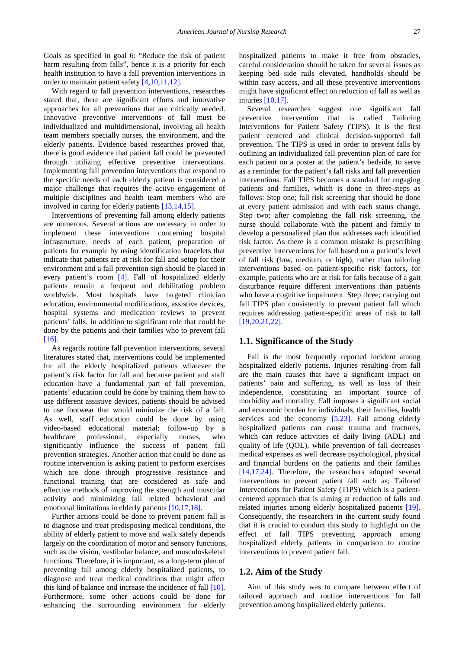Goals as specified in goal 6: "Reduce the risk of patient harm resulting from falls", hence it is a priority for each health institution to have a fall prevention interventions in order to maintain patient safety [\[4,10,11,12\].](#page-6-1)

With regard to fall prevention interventions, researches stated that, there are significant efforts and innovative approaches for all preventions that are critically needed. Innovative preventive interventions of fall must be individualized and multidimensional, involving all health team members specially nurses, the environment, and the elderly patients. Evidence based researches proved that, there is good evidence that patient fall could be prevented through utilizing effective preventive interventions. Implementing fall prevention interventions that respond to the specific needs of each elderly patient is considered a major challenge that requires the active engagement of multiple disciplines and health team members who are involved in caring for elderly patients [\[13,14,15\].](#page-7-0)

Interventions of preventing fall among elderly patients are numerous. Several actions are necessary in order to implement these interventions concerning hospital infrastructure, needs of each patient, preparation of patients for example by using identification bracelets that indicate that patients are at risk for fall and setup for their environment and a fall prevention sign should be placed in every patient's room [\[4\].](#page-6-1) Fall of hospitalized elderly patients remain a frequent and debilitating problem worldwide. Most hospitals have targeted clinician education, environmental modifications, assistive devices, hospital systems and medication reviews to prevent patients' falls. In addition to significant role that could be done by the patients and their families who to prevent fall [\[16\].](#page-7-1)

As regards routine fall prevention interventions, several literatures stated that, interventions could be implemented for all the elderly hospitalized patients whatever the patient's risk factor for fall and because patient and staff education have a fundamental part of fall prevention, patients' education could be done by training them how to use different assistive devices, patients should be advised to use footwear that would minimize the risk of a fall. As well, staff education could be done by using video-based educational material; follow-up by a healthcare professional, especially nurses, who significantly influence the success of patient fall prevention strategies. Another action that could be done as routine intervention is asking patient to perform exercises which are done through progressive resistance and functional training that are considered as safe and effective methods of improving the strength and muscular activity and minimizing fall related behavioral and emotional limitations in elderly patient[s \[10,17,18\].](#page-6-2) 

Further actions could be done to prevent patient fall is to diagnose and treat predisposing medical conditions, the ability of elderly patient to move and walk safely depends largely on the coordination of motor and sensory functions, such as the vision, vestibular balance, and musculoskeletal functions. Therefore, it is important, as a long-term plan of preventing fall among elderly hospitalized patients, to diagnose and treat medical conditions that might affect this kind of balance and increase the incidence of fall [\[10\].](#page-6-2) Furthermore, some other actions could be done for enhancing the surrounding environment for elderly

hospitalized patients to make it free from obstacles, careful consideration should be taken for several issues as keeping bed side rails elevated, handholds should be within easy access, and all these preventive interventions might have significant effect on reduction of fall as well as injurie[s \[10,17\].](#page-6-2)

Several researches suggest one significant fall preventive intervention that is called Tailoring Interventions for Patient Safety (TIPS). It is the first patient centered and clinical decision-supported fall prevention. The TIPS is used in order to prevent falls by outlining an individualized fall prevention plan of care for each patient on a poster at the patient's bedside, to serve as a reminder for the patient's fall risks and fall prevention interventions. Fall TIPS becomes a standard for engaging patients and families, which is done in three-steps as follows: Step one; fall risk screening that should be done at every patient admission and with each status change. Step two; after completing the fall risk screening, the nurse should collaborate with the patient and family to develop a personalized plan that addresses each identified risk factor. As there is a common mistake is prescribing preventive interventions for fall based on a patient's level of fall risk (low, medium, or high), rather than tailoring interventions based on patient-specific risk factors, for example, patients who are at risk for falls because of a gait disturbance require different interventions than patients who have a cognitive impairment. Step three; carrying out fall TIPS plan consistently to prevent patient fall which requires addressing patient-specific areas of risk to fall [\[19,20,21,22\].](#page-7-2) 

#### **1.1. Significance of the Study**

Fall is the most frequently reported incident among hospitalized elderly patients. Injuries resulting from fall are the main causes that have a significant impact on patients' pain and suffering, as well as loss of their independence, constituting an important source of morbidity and mortality. Fall imposes a significant social and economic burden for individuals, their families, health services and the economy [\[5,23\].](#page-6-3) Fall among elderly hospitalized patients can cause trauma and fractures, which can reduce activities of daily living (ADL) and quality of life (QOL), while prevention of fall decreases medical expenses as well decrease psychological, physical and financial burdens on the patients and their families [\[14,17,24\].](#page-7-3) Therefore, the researchers adopted several interventions to prevent patient fall such as; Tailored Interventions for Patient Safety (TIPS) which is a patientcentered approach that is aiming at reduction of falls and related injuries among elderly hospitalized patients [\[19\].](#page-7-2) Consequently, the researchers in the current study found that it is crucial to conduct this study to highlight on the effect of fall TIPS preventing approach among hospitalized elderly patients in comparison to routine interventions to prevent patient fall.

#### **1.2. Aim of the Study**

Aim of this study was to compare between effect of tailored approach and routine interventions for fall prevention among hospitalized elderly patients.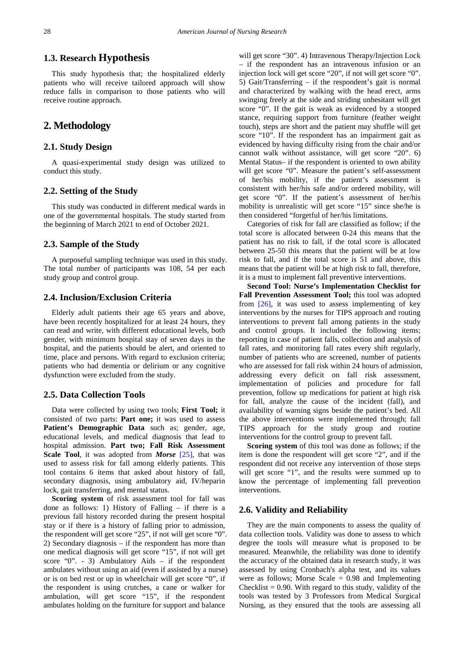# **1.3. Research Hypothesis**

This study hypothesis that; the hospitalized elderly patients who will receive tailored approach will show reduce falls in comparison to those patients who will receive routine approach.

# **2. Methodology**

## **2.1. Study Design**

A quasi-experimental study design was utilized to conduct this study.

## **2.2. Setting of the Study**

This study was conducted in different medical wards in one of the governmental hospitals. The study started from the beginning of March 2021 to end of October 2021.

#### **2.3. Sample of the Study**

A purposeful sampling technique was used in this study. The total number of participants was 108, 54 per each study group and control group.

#### **2.4. Inclusion/Exclusion Criteria**

Elderly adult patients their age 65 years and above, have been recently hospitalized for at least 24 hours, they can read and write, with different educational levels, both gender, with minimum hospital stay of seven days in the hospital, and the patients should be alert, and oriented to time, place and persons. With regard to exclusion criteria; patients who had dementia or delirium or any cognitive dysfunction were excluded from the study.

#### **2.5. Data Collection Tools**

Data were collected by using two tools; **First Tool;** it consisted of two parts: **Part one;** it was used to assess Patient's Demographic Data such as; gender, age, educational levels, and medical diagnosis that lead to hospital admission. **Part two; Fall Risk Assessment Scale Tool**, it was adopted from *Morse* [\[25\],](#page-7-4) that was used to assess risk for fall among elderly patients. This tool contains 6 items that asked about history of fall, secondary diagnosis, using ambulatory aid, IV/heparin lock, gait transferring, and mental status.

**Scoring system** of risk assessment tool for fall was done as follows: 1) History of Falling – if there is a previous fall history recorded during the present hospital stay or if there is a history of falling prior to admission, the respondent will get score "25", if not will get score "0". 2) Secondary diagnosis – if the respondent has more than one medical diagnosis will get score "15", if not will get score "0". - 3) Ambulatory Aids – if the respondent ambulates without using an aid (even if assisted by a nurse) or is on bed rest or up in wheelchair will get score "0", if the respondent is using crutches, a cane or walker for ambulation, will get score "15", if the respondent ambulates holding on the furniture for support and balance

will get score "30". 4) Intravenous Therapy/Injection Lock – if the respondent has an intravenous infusion or an injection lock will get score "20", if not will get score "0". 5) Gait/Transferring – if the respondent's gait is normal and characterized by walking with the head erect, arms swinging freely at the side and striding unhesitant will get score "0". If the gait is weak as evidenced by a stooped stance, requiring support from furniture (feather weight touch), steps are short and the patient may shuffle will get score "10". If the respondent has an impairment gait as evidenced by having difficulty rising from the chair and/or cannot walk without assistance, will get score "20". 6) Mental Status– if the respondent is oriented to own ability will get score "0". Measure the patient's self-assessment of her/his mobility, if the patient's assessment is consistent with her/his safe and/or ordered mobility, will get score "0". If the patient's assessment of her/his mobility is unrealistic will get score "15" since she/he is then considered "forgetful of her/his limitations.

Categories of risk for fall are classified as follow; if the total score is allocated between 0-24 this means that the patient has no risk to fall, if the total score is allocated between 25-50 this means that the patient will be at low risk to fall, and if the total score is 51 and above, this means that the patient will be at high risk to fall, therefore, it is a must to implement fall preventive interventions.

**Second Tool: Nurse's Implementation Checklist for Fall Prevention Assessment Tool;** this tool was adopted from  $[26]$ , it was used to assess implementing of key interventions by the nurses for TIPS approach and routing interventions to prevent fall among patients in the study and control groups. It included the following items; reporting in case of patient falls, collection and analysis of fall rates, and monitoring fall rates every shift regularly, number of patients who are screened, number of patients who are assessed for fall risk within 24 hours of admission, addressing every deficit on fall risk assessment, implementation of policies and procedure for fall prevention, follow up medications for patient at high risk for fall, analyze the cause of the incident (fall), and availability of warning signs beside the patient's bed. All the above interventions were implemented through; fall TIPS approach for the study group and routine interventions for the control group to prevent fall.

**Scoring system** of this tool was done as follows; if the item is done the respondent will get score "2", and if the respondent did not receive any intervention of those steps will get score "1", and the results were summed up to know the percentage of implementing fall prevention interventions.

## **2.6. Validity and Reliability**

They are the main components to assess the quality of data collection tools. Validity was done to assess to which degree the tools will measure what is proposed to be measured. Meanwhile, the reliability was done to identify the accuracy of the obtained data in research study, it was assessed by using Cronbach's alpha test, and its values were as follows; Morse Scale = 0.98 and Implementing Checklist  $= 0.90$ . With regard to this study, validity of the tools was tested by 3 Professors from Medical Surgical Nursing, as they ensured that the tools are assessing all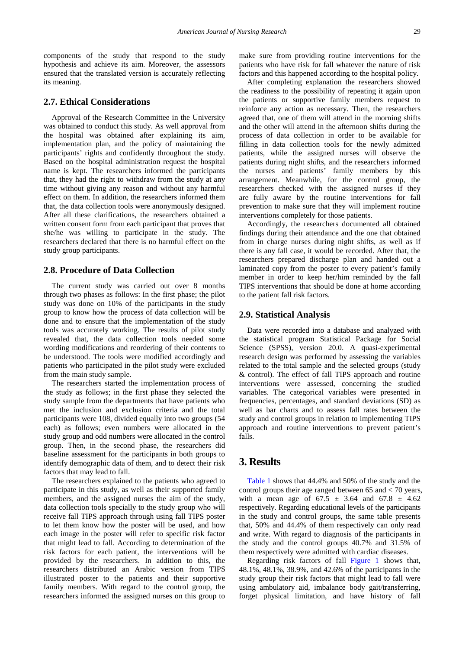components of the study that respond to the study hypothesis and achieve its aim. Moreover, the assessors ensured that the translated version is accurately reflecting its meaning.

#### **2.7. Ethical Considerations**

Approval of the Research Committee in the University was obtained to conduct this study. As well approval from the hospital was obtained after explaining its aim, implementation plan, and the policy of maintaining the participants' rights and confidently throughout the study. Based on the hospital administration request the hospital name is kept. The researchers informed the participants that, they had the right to withdraw from the study at any time without giving any reason and without any harmful effect on them. In addition, the researchers informed them that, the data collection tools were anonymously designed. After all these clarifications, the researchers obtained a written consent form from each participant that proves that she/he was willing to participate in the study. The researchers declared that there is no harmful effect on the study group participants.

#### **2.8. Procedure of Data Collection**

The current study was carried out over 8 months through two phases as follows: In the first phase; the pilot study was done on 10% of the participants in the study group to know how the process of data collection will be done and to ensure that the implementation of the study tools was accurately working. The results of pilot study revealed that, the data collection tools needed some wording modifications and reordering of their contents to be understood. The tools were modified accordingly and patients who participated in the pilot study were excluded from the main study sample.

The researchers started the implementation process of the study as follows; in the first phase they selected the study sample from the departments that have patients who met the inclusion and exclusion criteria and the total participants were 108, divided equally into two groups (54 each) as follows; even numbers were allocated in the study group and odd numbers were allocated in the control group. Then, in the second phase, the researchers did baseline assessment for the participants in both groups to identify demographic data of them, and to detect their risk factors that may lead to fall.

The researchers explained to the patients who agreed to participate in this study, as well as their supported family members, and the assigned nurses the aim of the study, data collection tools specially to the study group who will receive fall TIPS approach through using fall TIPS poster to let them know how the poster will be used, and how each image in the poster will refer to specific risk factor that might lead to fall. According to determination of the risk factors for each patient, the interventions will be provided by the researchers. In addition to this, the researchers distributed an Arabic version from TIPS illustrated poster to the patients and their supportive family members. With regard to the control group, the researchers informed the assigned nurses on this group to make sure from providing routine interventions for the patients who have risk for fall whatever the nature of risk factors and this happened according to the hospital policy.

After completing explanation the researchers showed the readiness to the possibility of repeating it again upon the patients or supportive family members request to reinforce any action as necessary. Then, the researchers agreed that, one of them will attend in the morning shifts and the other will attend in the afternoon shifts during the process of data collection in order to be available for filling in data collection tools for the newly admitted patients, while the assigned nurses will observe the patients during night shifts, and the researchers informed the nurses and patients' family members by this arrangement. Meanwhile, for the control group, the researchers checked with the assigned nurses if they are fully aware by the routine interventions for fall prevention to make sure that they will implement routine interventions completely for those patients.

Accordingly, the researchers documented all obtained findings during their attendance and the one that obtained from in charge nurses during night shifts, as well as if there is any fall case, it would be recorded. After that, the researchers prepared discharge plan and handed out a laminated copy from the poster to every patient's family member in order to keep her/him reminded by the fall TIPS interventions that should be done at home according to the patient fall risk factors.

#### **2.9. Statistical Analysis**

Data were recorded into a database and analyzed with the statistical program Statistical Package for Social Science (SPSS), version 20.0. A quasi-experimental research design was performed by assessing the variables related to the total sample and the selected groups (study & control). The effect of fall TIPS approach and routine interventions were assessed, concerning the studied variables. The categorical variables were presented in frequencies, percentages, and standard deviations (SD) as well as bar charts and to assess fall rates between the study and control groups in relation to implementing TIPS approach and routine interventions to prevent patient's falls.

# **3. Results**

[Table 1](#page-4-0) shows that 44.4% and 50% of the study and the control groups their age ranged between 65 and < 70 years, with a mean age of  $67.5 \pm 3.64$  and  $67.8 \pm 4.62$ respectively. Regarding educational levels of the participants in the study and control groups, the same table presents that, 50% and 44.4% of them respectively can only read and write. With regard to diagnosis of the participants in the study and the control groups 40.7% and 31.5% of them respectively were admitted with cardiac diseases.

Regarding risk factors of fall [Figure 1](#page-4-1) shows that, 48.1%, 48.1%, 38.9%, and 42.6% of the participants in the study group their risk factors that might lead to fall were using ambulatory aid, imbalance body gait/transferring, forget physical limitation, and have history of fall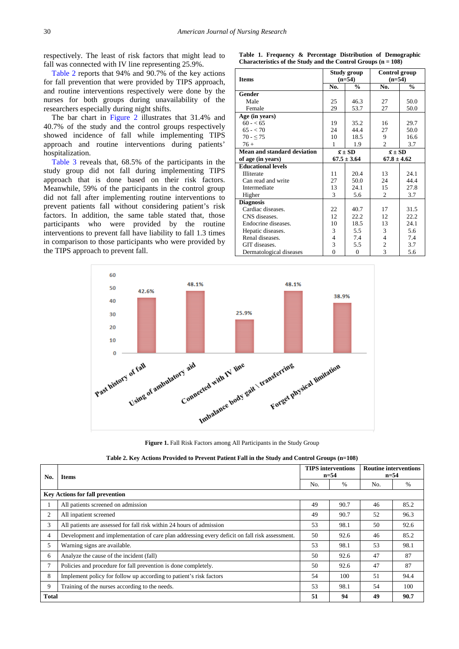respectively. The least of risk factors that might lead to fall was connected with IV line representing 25.9%.

[Table 2](#page-4-2) reports that 94% and 90.7% of the key actions for fall prevention that were provided by TIPS approach, and routine interventions respectively were done by the nurses for both groups during unavailability of the researchers especially during night shifts.

The bar chart in [Figure 2](#page-5-0) illustrates that 31.4% and 40.7% of the study and the control groups respectively showed incidence of fall while implementing TIPS approach and routine interventions during patients' hospitalization.

[Table 3](#page-5-1) reveals that, 68.5% of the participants in the study group did not fall during implementing TIPS approach that is done based on their risk factors. Meanwhile, 59% of the participants in the control group did not fall after implementing routine interventions to prevent patients fall without considering patient's risk factors. In addition, the same table stated that, those participants who were provided by the routine interventions to prevent fall have liability to fall 1.3 times in comparison to those participants who were provided by the TIPS approach to prevent fall.

|                                                                 |  |  |  |  |  |  | Table 1. Frequency & Percentage Distribution of Demographic |
|-----------------------------------------------------------------|--|--|--|--|--|--|-------------------------------------------------------------|
| Characteristics of the Study and the Control Groups $(n = 108)$ |  |  |  |  |  |  |                                                             |

<span id="page-4-0"></span>

|                             |                  | Study group   | Control group      |               |  |  |
|-----------------------------|------------------|---------------|--------------------|---------------|--|--|
| <b>Items</b>                |                  | $(n=54)$      | $(n=54)$           |               |  |  |
|                             | No.              | $\frac{0}{0}$ | No.                | $\frac{0}{0}$ |  |  |
| Gender                      |                  |               |                    |               |  |  |
| Male                        | 25               | 46.3          | 27                 | 50.0          |  |  |
| Female                      | 29               | 53.7          | 27                 | 50.0          |  |  |
| Age (in years)              |                  |               |                    |               |  |  |
| $60 - 65$                   | 19               | 35.2          | 16                 | 29.7          |  |  |
| $65 - 70$                   | 24               | 44.4          | 27                 | 50.0          |  |  |
| $70 - 575$                  | 10               | 18.5          | 9                  | 16.6          |  |  |
| $76+$                       | 1                | 1.9           | $\overline{2}$     | 3.7           |  |  |
| Mean and standard deviation | $\bar{x} \pm SD$ |               | $\bar{x} \pm SD$   |               |  |  |
| of age (in years)           | $67.5 \pm 3.64$  |               | $67.8 \pm 4.62$    |               |  |  |
| <b>Educational levels</b>   |                  |               |                    |               |  |  |
| <b>Illiterate</b>           | 11               | 20.4          | 13                 | 24.1          |  |  |
| Can read and write          | 27               | 50.0          | 24                 | 44.4          |  |  |
| Intermediate                | 13               | 24.1          | 15                 | 27.8          |  |  |
| Higher                      | 3                | 5.6           | $\mathfrak{D}_{1}$ | 3.7           |  |  |
| <b>Diagnosis</b>            |                  |               |                    |               |  |  |
| Cardiac diseases.           | 22               | 40.7          | 17                 | 31.5          |  |  |
| CNS diseases.               | 12               | 22.2          | 12                 | 22.2          |  |  |
| Endocrine diseases.         | 10               | 18.5          | 13                 | 24.1          |  |  |
| Hepatic diseases.           | 3                | 5.5           | 3                  | 5.6           |  |  |
| Renal diseases.             | $\overline{4}$   | 7.4           | 4                  | 7.4           |  |  |
| GIT diseases.               | 3                | 5.5           | 2                  | 3.7           |  |  |
| Dermatological diseases     | $\theta$         | $\mathbf{0}$  | 3                  | 5.6           |  |  |

<span id="page-4-1"></span>

**Figure 1.** Fall Risk Factors among All Participants in the Study Group

| Table 2. Key Actions Provided to Prevent Patient Fall in the Study and Control Groups (n=108) |  |
|-----------------------------------------------------------------------------------------------|--|
|-----------------------------------------------------------------------------------------------|--|

<span id="page-4-2"></span>

| No.   | <b>Items</b>                                                                                  |    | <b>TIPS</b> interventions<br>$n=54$ | <b>Routine interventions</b><br>$n=54$ |               |  |
|-------|-----------------------------------------------------------------------------------------------|----|-------------------------------------|----------------------------------------|---------------|--|
|       |                                                                                               |    | $\%$                                | No.                                    | $\frac{0}{0}$ |  |
|       | <b>Key Actions for fall prevention</b>                                                        |    |                                     |                                        |               |  |
|       | All patients screened on admission                                                            | 49 | 90.7                                | 46                                     | 85.2          |  |
| 2     | All inpatient screened                                                                        | 49 | 90.7                                | 52                                     | 96.3          |  |
| 3     | All patients are assessed for fall risk within 24 hours of admission                          | 53 | 98.1                                | 50                                     | 92.6          |  |
| 4     | Development and implementation of care plan addressing every deficit on fall risk assessment. | 50 | 92.6                                | 46                                     | 85.2          |  |
| 5     | Warning signs are available.                                                                  | 53 | 98.1                                | 53                                     | 98.1          |  |
| 6     | Analyze the cause of the incident (fall)                                                      | 50 | 92.6                                | 47                                     | 87            |  |
| 7     | Policies and procedure for fall prevention is done completely.                                | 50 | 92.6                                | 47                                     | 87            |  |
| 8     | Implement policy for follow up according to patient's risk factors                            | 54 | 100                                 | 51                                     | 94.4          |  |
| 9     | Training of the nurses according to the needs.                                                | 53 | 98.1                                | 54                                     | 100           |  |
| Total |                                                                                               | 51 | 94                                  | 49                                     | 90.7          |  |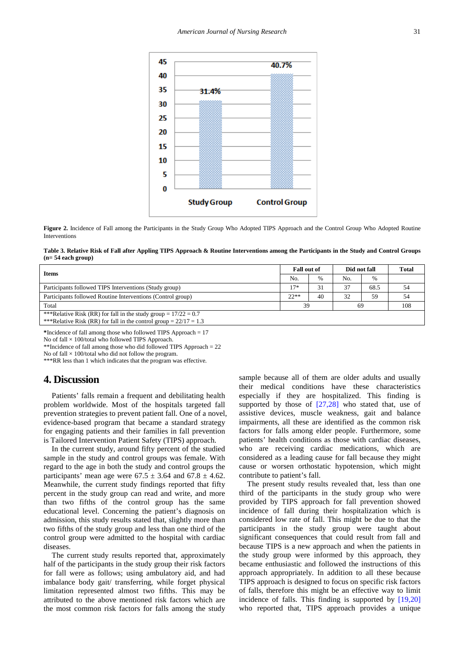<span id="page-5-0"></span>

**Figure 2.** Incidence of Fall among the Participants in the Study Group Who Adopted TIPS Approach and the Control Group Who Adopted Routine Interventions

**Table 3. Relative Risk of Fall after Appling TIPS Approach & Routine Interventions among the Participants in the Study and Control Groups (n= 54 each group)**

<span id="page-5-1"></span>

| <b>Items</b>                                                                                                                             |        | Fall out of |     | Did not fall |     |
|------------------------------------------------------------------------------------------------------------------------------------------|--------|-------------|-----|--------------|-----|
|                                                                                                                                          |        | $\%$        | No. | $\%$         |     |
| Participants followed TIPS Interventions (Study group)                                                                                   | $17*$  | 31          | 37  | 68.5         | 54  |
| Participants followed Routine Interventions (Control group)                                                                              | $22**$ | 40          | 32  | 59           | 54  |
| Total                                                                                                                                    | 39     |             | 69  |              | 108 |
| ***Relative Risk (RR) for fall in the study group = $17/22 = 0.7$<br>***Relative Risk (RR) for fall in the control group = $22/17 = 1.3$ |        |             |     |              |     |

**\***Incidence of fall among those who followed TIPS Approach = 17

No of fall  $\times$  100/total who followed TIPS Approach.

\*\*Incidence of fall among those who did followed TIPS Approach = 22

No of fall  $\times$  100/total who did not follow the program.

\*\*\*RR less than 1 which indicates that the program was effective.

# **4. Discussion**

Patients' falls remain a frequent and debilitating health problem worldwide. Most of the hospitals targeted fall prevention strategies to prevent patient fall. One of a novel, evidence-based program that became a standard strategy for engaging patients and their families in fall prevention is Tailored Intervention Patient Safety (TIPS) approach.

In the current study, around fifty percent of the studied sample in the study and control groups was female. With regard to the age in both the study and control groups the participants' mean age were  $67.5 \pm 3.64$  and  $67.8 \pm 4.62$ . Meanwhile, the current study findings reported that fifty percent in the study group can read and write, and more than two fifths of the control group has the same educational level. Concerning the patient's diagnosis on admission, this study results stated that, slightly more than two fifths of the study group and less than one third of the control group were admitted to the hospital with cardiac diseases.

The current study results reported that, approximately half of the participants in the study group their risk factors for fall were as follows; using ambulatory aid, and had imbalance body gait/ transferring, while forget physical limitation represented almost two fifths. This may be attributed to the above mentioned risk factors which are the most common risk factors for falls among the study sample because all of them are older adults and usually their medical conditions have these characteristics especially if they are hospitalized. This finding is supported by those of  $[27,28]$  who stated that, use of assistive devices, muscle weakness, gait and balance impairments, all these are identified as the common risk factors for falls among elder people. Furthermore, some patients' health conditions as those with cardiac diseases, who are receiving cardiac medications, which are considered as a leading cause for fall because they might cause or worsen orthostatic hypotension, which might contribute to patient's fall.

The present study results revealed that, less than one third of the participants in the study group who were provided by TIPS approach for fall prevention showed incidence of fall during their hospitalization which is considered low rate of fall. This might be due to that the participants in the study group were taught about significant consequences that could result from fall and because TIPS is a new approach and when the patients in the study group were informed by this approach, they became enthusiastic and followed the instructions of this approach appropriately. In addition to all these because TIPS approach is designed to focus on specific risk factors of falls, therefore this might be an effective way to limit incidence of falls. This finding is supported by [\[19,20\]](#page-7-2) who reported that, TIPS approach provides a unique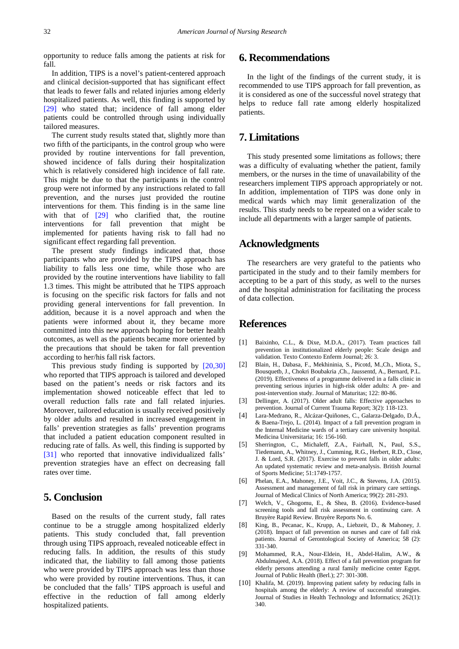opportunity to reduce falls among the patients at risk for fall.

In addition, TIPS is a novel's patient-centered approach and clinical decision-supported that has significant effect that leads to fewer falls and related injuries among elderly hospitalized patients. As well, this finding is supported by [\[29\]](#page-7-7) who stated that; incidence of fall among elder patients could be controlled through using individually tailored measures.

The current study results stated that, slightly more than two fifth of the participants, in the control group who were provided by routine interventions for fall prevention, showed incidence of falls during their hospitalization which is relatively considered high incidence of fall rate. This might be due to that the participants in the control group were not informed by any instructions related to fall prevention, and the nurses just provided the routine interventions for them. This finding is in the same line with that of [\[29\]](#page-7-7) who clarified that, the routine interventions for fall prevention that might be implemented for patients having risk to fall had no significant effect regarding fall prevention.

The present study findings indicated that, those participants who are provided by the TIPS approach has liability to falls less one time, while those who are provided by the routine interventions have liability to fall 1.3 times. This might be attributed that he TIPS approach is focusing on the specific risk factors for falls and not providing general interventions for fall prevention. In addition, because it is a novel approach and when the patients were informed about it, they became more committed into this new approach hoping for better health outcomes, as well as the patients became more oriented by the precautions that should be taken for fall prevention according to her/his fall risk factors.

This previous study finding is supported by [\[20,30\]](#page-7-8) who reported that TIPS approach is tailored and developed based on the patient's needs or risk factors and its implementation showed noticeable effect that led to overall reduction falls rate and fall related injuries. Moreover, tailored education is usually received positively by older adults and resulted in increased engagement in falls' prevention strategies as falls' prevention programs that included a patient education component resulted in reducing rate of falls. As well, this finding is supported by [\[31\]](#page-7-9) who reported that innovative individualized falls' prevention strategies have an effect on decreasing fall rates over time.

# **5. Conclusion**

Based on the results of the current study, fall rates continue to be a struggle among hospitalized elderly patients. This study concluded that, fall prevention through using TIPS approach, revealed noticeable effect in reducing falls. In addition, the results of this study indicated that, the liability to fall among those patients who were provided by TIPS approach was less than those who were provided by routine interventions. Thus, it can be concluded that the falls' TIPS approach is useful and effective in the reduction of fall among elderly hospitalized patients.

# **6. Recommendations**

In the light of the findings of the current study, it is recommended to use TIPS approach for fall prevention, as it is considered as one of the successful novel strategy that helps to reduce fall rate among elderly hospitalized patients.

# **7. Limitations**

This study presented some limitations as follows; there was a difficulty of evaluating whether the patient, family members, or the nurses in the time of unavailability of the researchers implement TIPS approach appropriately or not. In addition, implementation of TIPS was done only in medical wards which may limit generalization of the results. This study needs to be repeated on a wider scale to include all departments with a larger sample of patients.

## **Acknowledgments**

The researchers are very grateful to the patients who participated in the study and to their family members for accepting to be a part of this study, as well to the nurses and the hospital administration for facilitating the process of data collection.

## **References**

- <span id="page-6-0"></span>[1] Baixinho, C.L., & Dixe, M.D.A., (2017). Team practices fall prevention in institutionalized elderly people: Scale design and validation. Texto Contexto Enferm Journal; 26: 3.
- [2] Blain, H., Dabasa, F., Mekhininia, S., Picotd, M.,Ch., Miota, S., Bousquetb, J., Chokri Boubakria ,Ch., Jaussentd, A., Bernard, P.L. (2019). Effectiveness of a programme delivered in a falls clinic in preventing serious injuries in high-risk older adults: A pre- and post-intervention study. Journal of Maturitas; 122: 80-86.
- [3] Dellinger, A. (2017). Older adult falls: Effective approaches to prevention. Journal of Current Trauma Report; 3(2): 118-123.
- <span id="page-6-1"></span>[4] Lara-Medrano, R., Alcázar-Quiñones, C., Galarza-Delgado, D.Á., & Baena-Trejo, L. (2014). Impact of a fall prevention program in the Internal Medicine wards of a tertiary care university hospital. Medicina Universitaria; 16: 156-160*.*
- <span id="page-6-3"></span>[5] Sherrington, C., Michaleff, Z.A., Fairhall, N., Paul, S.S., Tiedemann, A., Whitney, J., Cumming, R.G., Herbert, R.D., Close, J. & Lord, S.R. (2017). Exercise to prevent falls in older adults: An updated systematic review and meta-analysis. British Journal of Sports Medicine; 51:1749-1757.
- [6] Phelan, E.A., Mahoney, J.E., Voit, J.C., & Stevens, J.A. (2015). Assessment and management of fall risk in primary care settings. Journal of Medical Clinics of North America; 99(2): 281-293.
- [7] Welch, V., Ghogomu, E., & Shea, B. (2016). Evidence-based screening tools and fall risk assessment in continuing care. A Bruyère Rapid Review. Bruyère Reports No. 6.
- [8] King, B., Pecanac, K., Krupp, A., Liebzeit, D., & Mahoney, J. (2018). Impact of fall prevention on nurses and care of fall risk patients. Journal of Gerontological Society of America; 58 (2): 331-340.
- [9] Mohammed, R.A., Nour-Eldein, H., Abdel-Halim, A.W., & Abdulmajeed, A.A. (2018). Effect of a fall prevention program for elderly persons attending a rural family medicine center Egypt. Journal of Public Health (Berl.); 27: 301-308.
- <span id="page-6-2"></span>[10] Khalifa, M. (2019). Improving patient safety by reducing falls in hospitals among the elderly: A review of successful strategies. Journal of Studies in Health Technology and Informatics; 262(1): 340.